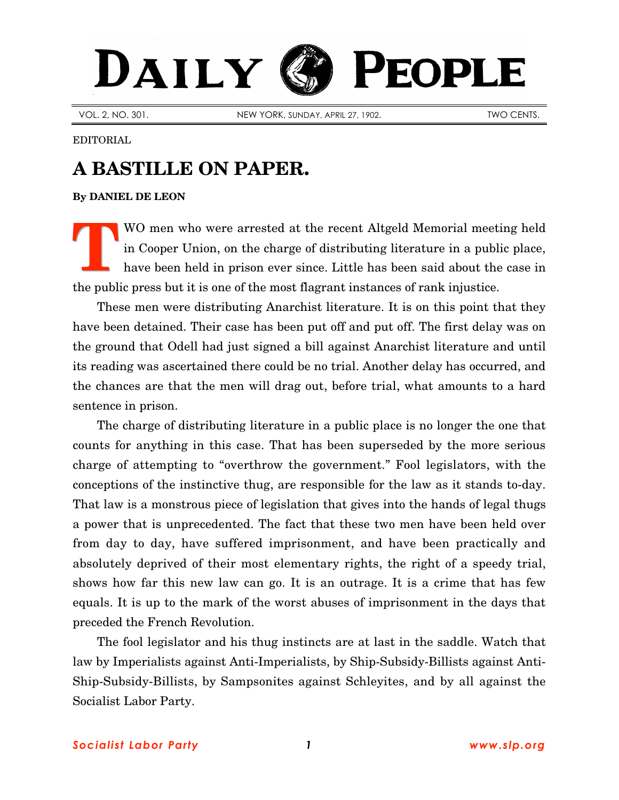## PEOPLE DAILY

VOL. 2, NO. 301. NEW YORK, SUNDAY, APRIL 27, 1902. TWO CENTS.

EDITORIAL

## **A BASTILLE ON PAPER.**

## **By [DANIEL DE LEON](http://slp.org/De_Leon.htm)**

WO men who were arrested at the recent Altgeld Memorial meeting held in Cooper Union, on the charge of distributing literature in a public place, have been held in prison ever since. Little has been said about the case in the public press but it is one of the most flagrant instances of rank injustice. **T**

These men were distributing Anarchist literature. It is on this point that they have been detained. Their case has been put off and put off. The first delay was on the ground that Odell had just signed a bill against Anarchist literature and until its reading was ascertained there could be no trial. Another delay has occurred, and the chances are that the men will drag out, before trial, what amounts to a hard sentence in prison.

The charge of distributing literature in a public place is no longer the one that counts for anything in this case. That has been superseded by the more serious charge of attempting to "overthrow the government." Fool legislators, with the conceptions of the instinctive thug, are responsible for the law as it stands to-day. That law is a monstrous piece of legislation that gives into the hands of legal thugs a power that is unprecedented. The fact that these two men have been held over from day to day, have suffered imprisonment, and have been practically and absolutely deprived of their most elementary rights, the right of a speedy trial, shows how far this new law can go. It is an outrage. It is a crime that has few equals. It is up to the mark of the worst abuses of imprisonment in the days that preceded the French Revolution.

The fool legislator and his thug instincts are at last in the saddle. Watch that law by Imperialists against Anti-Imperialists, by Ship-Subsidy-Billists against Anti-Ship-Subsidy-Billists, by Sampsonites against Schleyites, and by all against the Socialist Labor Party.